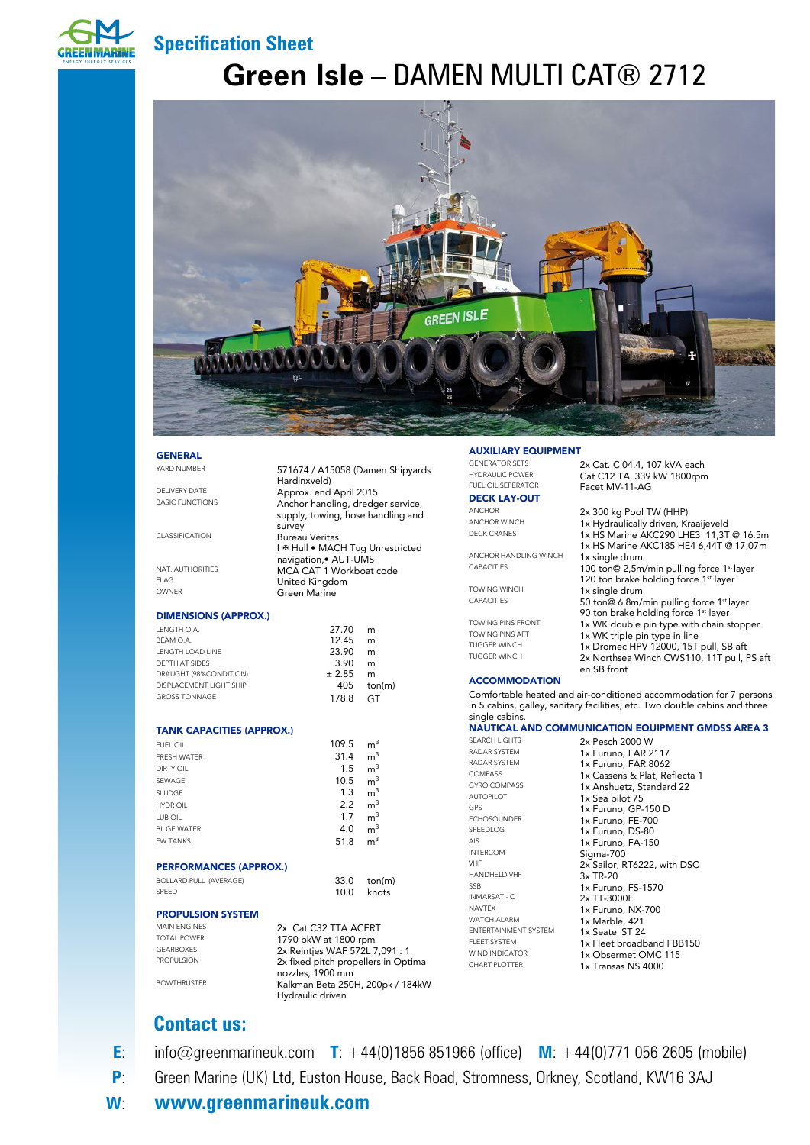

### **Specification Sheet**

# **Green Isle** – DAMEN MULTI CAT® 2712



#### GENERAL

YARD NUMBER 571674 / A15058 (Damen Shipyards

DELIVERY DATE **Approx.** end April 2015

CLASSIFICATION Bureau Veritas

NAT. AUTHORITIES MCA CAT 1 Workboat code<br>FLAG Inited Kingdom FLAG United Kingdom

#### DIMENSIONS (APPROX.)

27.70 m 12.45 m 23.90 m 3.90 m  $± 2.85$  m 405 ton(m) GT LENGTH O.A. BEAM O.A. LENGTH LOAD LINE DEPTH AT SIDES DRAUGHT (98%CONDITION) DISPLACEMENT LIGHT SHIP GROSS TONNAGE 178.8

Hardinxveld)

Green Marine

survey

Anchor handling, dredger service, supply, towing, hose handling and

I **# Hull • MACH Tug Unrestricted** navigation,• AUT-UMS

#### TANK CAPACITIES (APPROX.)

| <b>FUEL OIL</b>               | 109.5 | m <sup>3</sup> |
|-------------------------------|-------|----------------|
| <b>FRESH WATER</b>            | 31.4  | m <sup>3</sup> |
| DIRTY OIL                     | 1.5   | m <sup>3</sup> |
| SEWAGE                        | 10.5  | m <sup>3</sup> |
| SLUDGE                        | 1.3   | m <sup>3</sup> |
| HYDR OIL                      | 2.2   | m <sup>3</sup> |
| LUB OIL                       | 1.7   | m <sup>3</sup> |
| <b>BILGE WATER</b>            | 4.0   | m <sup>3</sup> |
| <b>FW TANKS</b>               | 51.8  | m <sup>3</sup> |
| <b>PERFORMANCES (APPROX.)</b> |       |                |
| <b>BOLLARD PULL (AVERAGE)</b> | 33.0  | ton(m)         |

33.0 ton(m)<br>10.0 knots knots

#### PROPULSION SYSTEM

MAIN ENGINES<br>
TOTAL POWER
1790 bl/M at 1800 rpm

TOTAL POWER<br>GEARROXES 2. Painting MAE E72L GEARBOXES 2x Reintjes WAF 572L 7,091 : 1<br>PROPULSION 2x fixed pitch propellers in Opt 2x fixed pitch propellers in Optima nozzles, 1900 mm Kalkman Beta 250H, 200pk / 184kW Hydraulic driven

#### AUXILIARY EQUIPMENT

GENERATOR SETS 2x Cat. C 04.4, 107 kVA each<br>HYDRAULIC POWER Cat C 12 TA 229 kW 1800rpm HYDRAULIC POWER<br>FUEL OIL SEPERATOR<br>Facet MV-11-AG

### **DECK LAY-OUT**<br>ANCHOR

ANCHOR 2x 300 kg Pool TW (HHP)<br>ANCHOR WINCH 1x Hydraulically driven Ki ANCHOR WINCH<br>  $\frac{1}{x}$  1x Hydraulically driven, Kraaijeveld<br>  $\frac{1}{x}$  12 HS Maxing AVC200 LHE2 11 2T

ANCHOR HANDLING WINCH 1x single drum<br>CAPACITIES 100 ton 2.5mm

TOWING WINCH 1x single drum<br>CAPACITIES 50 ton 6 Am/

TOWING PINS FRONT 1x WK double pin type with chain stopper<br>TOWING PINS AFT 1x WK triple pin type in line TOWING PINS AFT 1x WK triple pin type in line<br>TUGGER WINCH 1x Dromes HPV 12000 15T TUGGER WINCH 1x Dromec HPV 12000, 15T pull, SB aft<br>TUGGER WINCH 1x 1x Dorthsea Winch CWS110, 11T pull

#### **ACCOMMODATION**

Comfortable heated and air-conditioned accommodation for 7 persons in 5 cabins, galley, sanitary facilities, etc. Two double cabins and three single cabins.

en SB front

Facet MV-11-AG

DECK CRANES 1x HS Marine AKC290 LHE3 11,3T @ 16.5m 1x HS Marine AKC185 HE4 6,44T @ 17,07m

100 ton@ 2,5m/min pulling force 1st layer 120 ton brake holding force 1st layer

50 ton@ 6.8m/min pulling force 1st layer 90 ton brake holding force 1<sup>st</sup> layer

2x Northsea Winch CWS110, 11T pull, PS aft

### NAUTICAL AND COMMUNICATION EQUIPMENT GMDSS AREA 3 SEARCH LIGHTS 2x Pesch 2000 W

RADAR SYSTEM 1x Furuno, FAR 2117<br>RADAR SYSTEM 1x Furuno, FAR 8062 RADAR SYSTEM 1x Furuno, FAR 8062<br>COMPASS 1x Cassens & Plat Re COMPASS 1x Cassens & Plat, Reflecta 1<br>
GYRO COMPASS 1x Applying Standard 22 GYRO COMPASS **1x Anshuetz, Standard 22**<br>AUTOPILOT **1x Sea pilot 75** AUTOPILOT 1x Sea pilot 75 GPS 1x Furuno, GP-150 D<br>FCHOSOUNDER 1x Furuno, EE 700 ECHOSOUNDER 1x Furuno, FE-700<br>SPEEDLOG 11 Furuno, DS 80 SPEEDLOG 1x Furuno, DS-80<br>Als 1x Furuno, EA-15 AIS 1x Furuno, FA-150 INTERCOM Sigma-700 HANDHELD VHF 3x TR-20<br>SSB 1x Furund  $SSB$  1x Furuno, FS-1570<br>
INMARSAT - C 2 7T-3000E INMARSAT - C 2x TT-3000E<br>NAVTEX 1x Eurupo N NAVTEX<br>WATCH ALARM **1x Marble 421** ENTERTAINMENT SYSTEM<br>FLEET SYSTEM 1x Seatel ST 24 FLEET SYSTEM 1x Fleet broadband FBB150<br>WIND INDICATOR 1x Obsermet OMC 115 WIND INDICATOR<br>CHART PLOTTER 1x Transas NS 4000

2x Sailor, RT6222, with DSC 1x Marble, 421 1x Transas NS 4000

### **Contact us:**

**ROWTHRUSTER** 

SPEED

**E**: info@greenmarineuk.com **T**: +44(0)1856 851966 (office) **M**: +44(0)771 056 2605 (mobile)

- **P**: Green Marine (UK) Ltd, Euston House, Back Road, Stromness, Orkney, Scotland, KW16 3AJ
- **W**: **www.greenmarineuk.com**